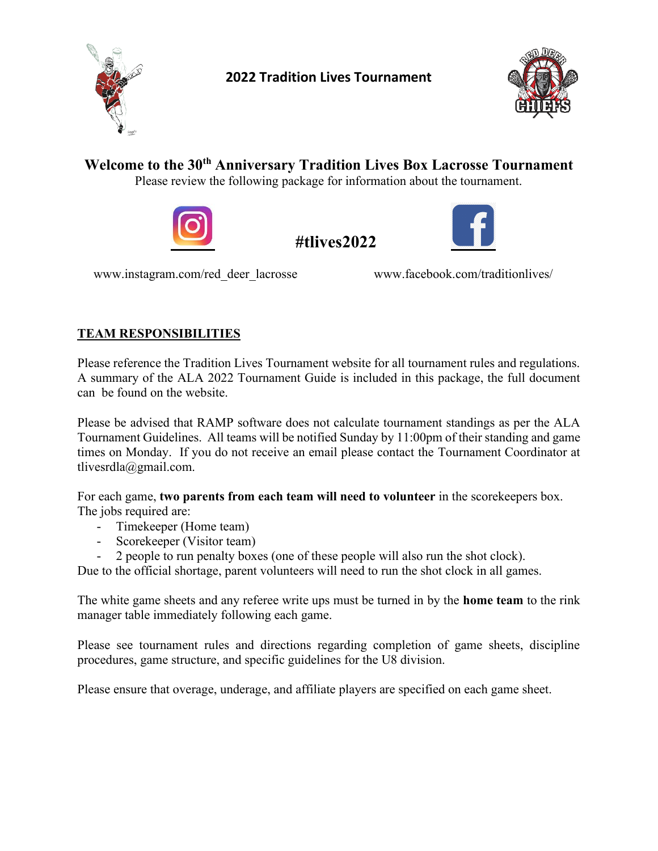



**Welcome to the 30th Anniversary Tradition Lives Box Lacrosse Tournament** Please review the following package for information about the tournament.



# **#tlives2022**



[www.instagram.com/red\\_deer\\_lacrosse](http://www.instagram.com/red_deer_lacrosse) www.facebook.com/traditionlives/

## **TEAM RESPONSIBILITIES**

Please reference the Tradition Lives Tournament website for all tournament rules and regulations. A summary of the ALA 2022 Tournament Guide is included in this package, the full document can be found on the website.

Please be advised that RAMP software does not calculate tournament standings as per the ALA Tournament Guidelines. All teams will be notified Sunday by 11:00pm of their standing and game times on Monday. If you do not receive an email please contact the Tournament Coordinator at tlivesrdla@gmail.com.

For each game, **two parents from each team will need to volunteer** in the scorekeepers box. The jobs required are:

- Timekeeper (Home team)
- Scorekeeper (Visitor team)
- 2 people to run penalty boxes (one of these people will also run the shot clock).

Due to the official shortage, parent volunteers will need to run the shot clock in all games.

The white game sheets and any referee write ups must be turned in by the **home team** to the rink manager table immediately following each game.

Please see tournament rules and directions regarding completion of game sheets, discipline procedures, game structure, and specific guidelines for the U8 division.

Please ensure that overage, underage, and affiliate players are specified on each game sheet.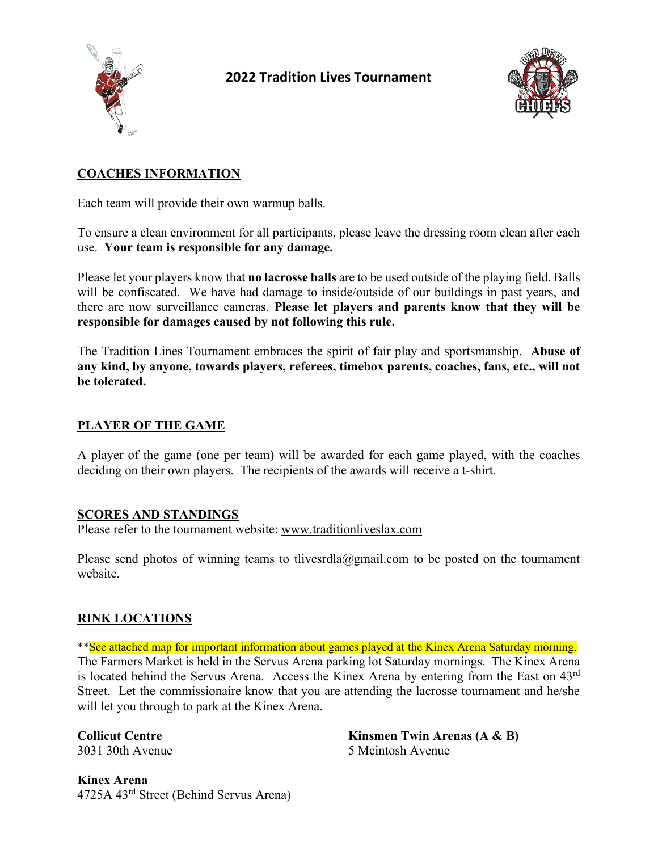



## **COACHES INFORMATION**

Each team will provide their own warmup balls.

To ensure a clean environment for all participants, please leave the dressing room clean after each use. **Your team is responsible for any damage.**

Please let your players know that **no lacrosse balls** are to be used outside of the playing field. Balls will be confiscated. We have had damage to inside/outside of our buildings in past years, and there are now surveillance cameras. **Please let players and parents know that they will be responsible for damages caused by not following this rule.**

The Tradition Lines Tournament embraces the spirit of fair play and sportsmanship. **Abuse of any kind, by anyone, towards players, referees, timebox parents, coaches, fans, etc., will not be tolerated.**

### **PLAYER OF THE GAME**

A player of the game (one per team) will be awarded for each game played, with the coaches deciding on their own players. The recipients of the awards will receive a t-shirt.

#### **SCORES AND STANDINGS**

Please refer to the tournament website: [www.traditionliveslax.com](http://www.traditionliveslax.com/)

Please send photos of winning teams to tlivesrdla@gmail.com to be posted on the tournament website.

#### **RINK LOCATIONS**

\*\*See attached map for important information about games played at the Kinex Arena Saturday morning. The Farmers Market is held in the Servus Arena parking lot Saturday mornings. The Kinex Arena is located behind the Servus Arena. Access the Kinex Arena by entering from the East on 43rd Street. Let the commissionaire know that you are attending the lacrosse tournament and he/she will let you through to park at the Kinex Arena.

**Collicut Centre Kinsmen Twin Arenas (A & B)** 3031 30th Avenue 5 Mcintosh Avenue

**Kinex Arena** 4725A 43rd Street (Behind Servus Arena)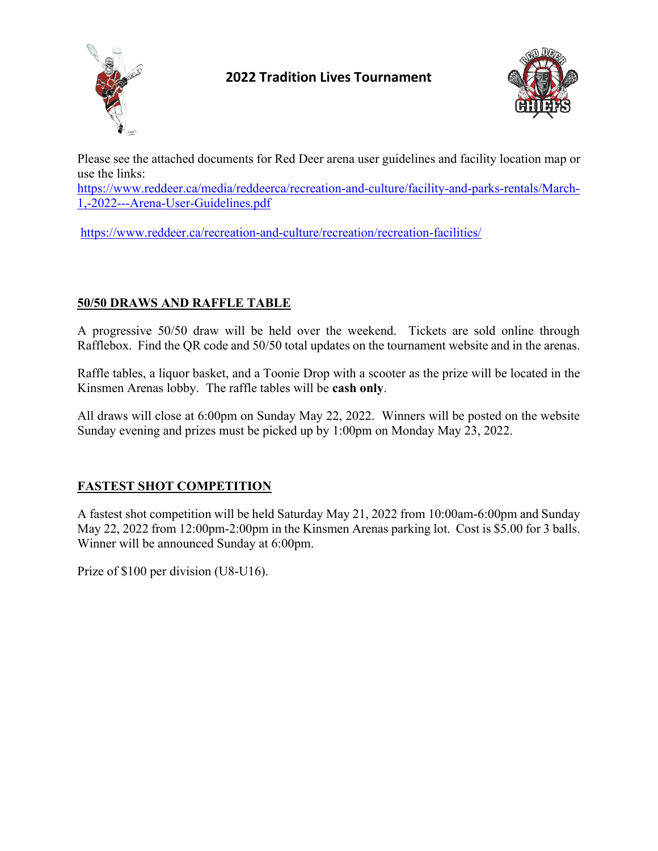



Please see the attached documents for Red Deer arena user guidelines and facility location map or use the links:

[https://www.reddeer.ca/media/reddeerca/recreation-and-culture/facility-and-parks-rentals/March-](https://www.reddeer.ca/media/reddeerca/recreation-and-culture/facility-and-parks-rentals/March-1,-2022---Arena-User-Guidelines.pdf)[1,-2022---Arena-User-Guidelines.pdf](https://www.reddeer.ca/media/reddeerca/recreation-and-culture/facility-and-parks-rentals/March-1,-2022---Arena-User-Guidelines.pdf)

<https://www.reddeer.ca/recreation-and-culture/recreation/recreation-facilities/>

## **50/50 DRAWS AND RAFFLE TABLE**

A progressive 50/50 draw will be held over the weekend. Tickets are sold online through Rafflebox. Find the QR code and 50/50 total updates on the tournament website and in the arenas.

Raffle tables, a liquor basket, and a Toonie Drop with a scooter as the prize will be located in the Kinsmen Arenas lobby. The raffle tables will be **cash only**.

All draws will close at 6:00pm on Sunday May 22, 2022. Winners will be posted on the website Sunday evening and prizes must be picked up by 1:00pm on Monday May 23, 2022.

## **FASTEST SHOT COMPETITION**

A fastest shot competition will be held Saturday May 21, 2022 from 10:00am-6:00pm and Sunday May 22, 2022 from 12:00pm-2:00pm in the Kinsmen Arenas parking lot. Cost is \$5.00 for 3 balls. Winner will be announced Sunday at 6:00pm.

Prize of \$100 per division (U8-U16).